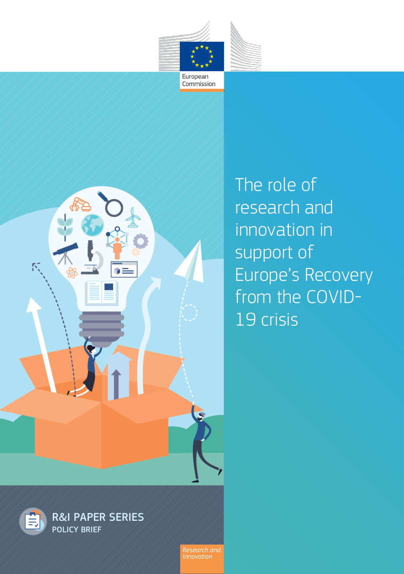

Commission



The role of research and innovation in support of Europe's Recovery from the COVID-19 crisis



*Innovation*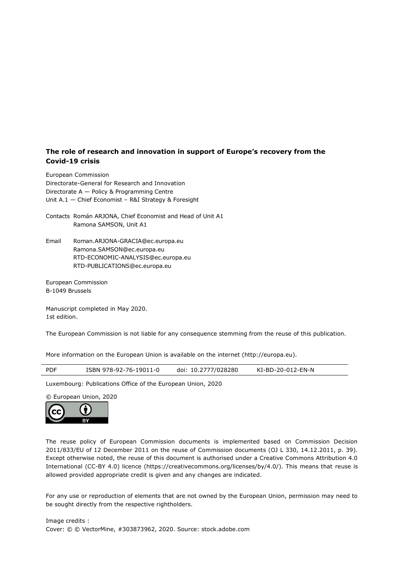#### **The role of research and innovation in support of Europe's recovery from the Covid-19 crisis**

European Commission Directorate-General for Research and Innovation Directorate A — Policy & Programming Centre Unit A.1 — Chief Economist – R&I Strategy & Foresight

Contacts Román ARJONA, Chief Economist and Head of Unit A1 Ramona SAMSON, Unit A1

Email Roman.ARJONA-GRACIA@ec.europa.eu Ramona.SAMSON@ec.europa.eu RTD-ECONOMIC-ANALYSIS@ec.europa.eu [RTD-PUBLICATIONS@ec.europa.eu](mailto:RTD-PUBLICATIONS@ec.europa.eu) 

European Commission B-1049 Brussels

Manuscript completed in May 2020. 1st edition.

The European Commission is not liable for any consequence stemming from the reuse of this publication.

More information on the European Union is available on the internet (http://europa.eu).

| <b>PDF</b> | ISBN 978-92-76-19011-0 | doi: 10.2777/028280 | KI-BD-20-012-EN-N |
|------------|------------------------|---------------------|-------------------|
|            |                        |                     |                   |

Luxembourg: Publications Office of the European Union, 2020

© European Union, 2020



The reuse policy of European Commission documents is implemented based on Commission Decision 2011/833/EU of 12 December 2011 on the reuse of Commission documents (OJ L 330, 14.12.2011, p. 39). Except otherwise noted, the reuse of this document is authorised under a Creative Commons Attribution 4.0 International (CC-BY 4.0) licence (https://creativecommons.org/licenses/by/4.0/). This means that reuse is allowed provided appropriate credit is given and any changes are indicated.

For any use or reproduction of elements that are not owned by the European Union, permission may need to be sought directly from the respective rightholders.

Image credits : Cover: © © VectorMine, #303873962, 2020. Source: stock.adobe.com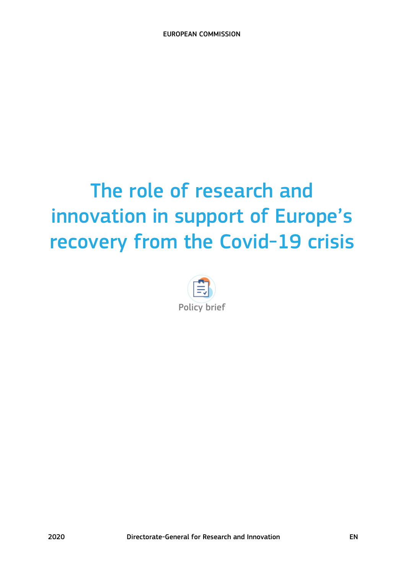# The role of research and innovation in support of Europe's recovery from the Covid-19 crisis

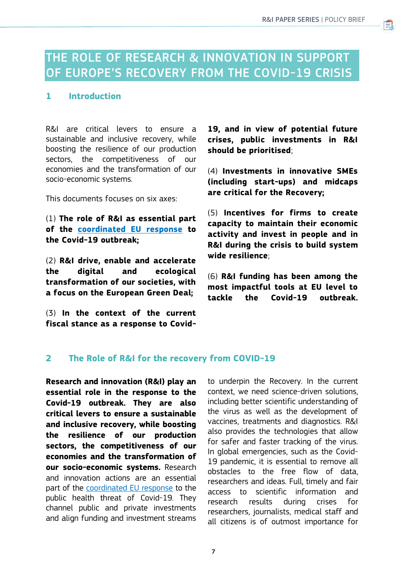首

# THE ROLE OF RESEARCH & INNOVATION IN SUPPORT OF EUROPE'S RECOVERY FROM THE COVID-19 CRISIS

## **1 Introduction**

R&I are critical levers to ensure a sustainable and inclusive recovery, while boosting the resilience of our production sectors, the competitiveness of our economies and the transformation of our socio-economic systems.

This documents focuses on six axes:

(1) **The role of R&I as essential part of the [coordinated EU response](https://ec.europa.eu/info/live-work-travel-eu/health/coronavirus-response_en) to the Covid-19 outbreak;** 

(2) **R&I drive, enable and accelerate the digital and ecological transformation of our societies, with a focus on the European Green Deal;** 

(3) **In the context of the current fiscal stance as a response to Covid-** **19, and in view of potential future crises, public investments in R&I should be prioritised**;

(4) **Investments in innovative SMEs (including start-ups) and midcaps are critical for the Recovery;** 

(5) **Incentives for firms to create capacity to maintain their economic activity and invest in people and in R&I during the crisis to build system wide resilience**;

(6) **R&I funding has been among the most impactful tools at EU level to tackle the Covid-19 outbreak.**

# **2 The Role of R&I for the recovery from COVID-19**

**Research and innovation (R&I) play an essential role in the response to the Covid-19 outbreak. They are also critical levers to ensure a sustainable and inclusive recovery, while boosting the resilience of our production sectors, the competitiveness of our economies and the transformation of our socio-economic systems.** Research and innovation actions are an essential part of the [coordinated EU response](https://ec.europa.eu/info/live-work-travel-eu/health/coronavirus-response_en) to the public health threat of Covid-19. They channel public and private investments and align funding and investment streams to underpin the Recovery. In the current context, we need science-driven solutions, including better scientific understanding of the virus as well as the development of vaccines, treatments and diagnostics. R&I also provides the technologies that allow for safer and faster tracking of the virus. In global emergencies, such as the Covid-19 pandemic, it is essential to remove all obstacles to the free flow of data, researchers and ideas. Full, timely and fair access to scientific information and research results during crises for researchers, journalists, medical staff and all citizens is of outmost importance for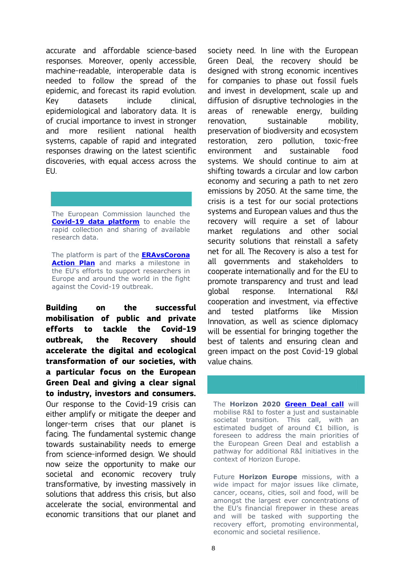accurate and affordable science-based responses. Moreover, openly accessible, machine-readable, interoperable data is needed to follow the spread of the epidemic, and forecast its rapid evolution. Key datasets include clinical, epidemiological and laboratory data. It is of crucial importance to invest in stronger and more resilient national health systems, capable of rapid and integrated responses drawing on the latest scientific discoveries, with equal access across the EU.

The European Commission launched the **[Covid-19 data platform](https://www.covid19dataportal.org/)** to enable the rapid collection and sharing of available research data.

The platform is part of the **[ERAvsCorona](https://ec.europa.eu/info/sites/info/files/research_and_innovation/research_by_area/documents/ec_rtd_era-vs-corona_0.pdf)  [Action Plan](https://ec.europa.eu/info/sites/info/files/research_and_innovation/research_by_area/documents/ec_rtd_era-vs-corona_0.pdf)** and marks a milestone in the EU's efforts to support researchers in Europe and around the world in the fight against the Covid-19 outbreak.

**Building on the successful mobilisation of public and private efforts to tackle the Covid-19 outbreak, the Recovery should accelerate the digital and ecological transformation of our societies, with a particular focus on the European Green Deal and giving a clear signal to industry, investors and consumers.**  Our response to the Covid-19 crisis can either amplify or mitigate the deeper and longer-term crises that our planet is facing. The fundamental systemic change towards sustainability needs to emerge from science-informed design. We should now seize the opportunity to make our societal and economic recovery truly transformative, by investing massively in solutions that address this crisis, but also accelerate the social, environmental and economic transitions that our planet and

society need. In line with the European Green Deal, the recovery should be designed with strong economic incentives for companies to phase out fossil fuels and invest in development, scale up and diffusion of disruptive technologies in the areas of renewable energy, building renovation, sustainable mobility, preservation of biodiversity and ecosystem restoration, zero pollution, toxic-free environment and sustainable food systems. We should continue to aim at shifting towards a circular and low carbon economy and securing a path to net zero emissions by 2050. At the same time, the crisis is a test for our social protections systems and European values and thus the recovery will require a set of labour market regulations and other social security solutions that reinstall a safety net for all. The Recovery is also a test for all governments and stakeholders to cooperate internationally and for the EU to promote transparency and trust and lead global response. International R&I cooperation and investment, via effective and tested platforms like Mission Innovation, as well as science diplomacy will be essential for bringing together the best of talents and ensuring clean and green impact on the post Covid-19 global value chains.

The **Horizon 2020 [Green Deal call](https://ec.europa.eu/info/research-and-innovation/strategy/european-green-deal/call_en)** will mobilise R&I to foster a just and sustainable societal transition. This call, with an estimated budget of around €1 billion, is foreseen to address the main priorities of the European Green Deal and establish a pathway for additional R&I initiatives in the context of Horizon Europe.

Future **Horizon Europe** missions, with a wide impact for major issues like climate, cancer, oceans, cities, soil and food, will be amongst the largest ever concentrations of the EU's financial firepower in these areas and will be tasked with supporting the recovery effort, promoting environmental, economic and societal resilience.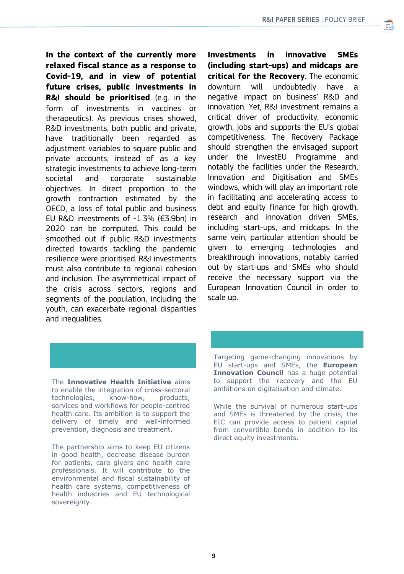**In the context of the currently more relaxed fiscal stance as a response to Covid-19, and in view of potential future crises, public investments in R&I should be prioritised** (e.g. in the form of investments in vaccines or therapeutics). As previous crises showed, R&D investments, both public and private, have traditionally been regarded as adjustment variables to square public and private accounts, instead of as a key strategic investments to achieve long-term societal and corporate sustainable objectives. In direct proportion to the growth contraction estimated by the OECD, a loss of total public and business EU R&D investments of -1.3% (€3.9bn) in 2020 can be computed. This could be smoothed out if public R&D investments directed towards tackling the pandemic resilience were prioritised. R&I investments must also contribute to regional cohesion and inclusion. The asymmetrical impact of the crisis across sectors, regions and segments of the population, including the youth, can exacerbate regional disparities and inequalities.

**Investments in innovative SMEs (including start-ups) and midcaps are critical for the Recovery**. The economic downturn will undoubtedly have a negative impact on business' R&D and innovation. Yet, R&I investment remains a critical driver of productivity, economic growth, jobs and supports the EU's global competitiveness. The Recovery Package should strengthen the envisaged support under the InvestEU Programme and notably the facilities under the Research, Innovation and Digitisation and SMEs windows, which will play an important role in facilitating and accelerating access to debt and equity finance for high growth, research and innovation driven SMEs, including start-ups, and midcaps. In the same vein, particular attention should be given to emerging technologies and breakthrough innovations, notably carried out by start-ups and SMEs who should receive the necessary support via the European Innovation Council in order to scale up.

The **Innovative Health Initiative** aims to enable the integration of cross-sectoral technologies, know-how, products, services and workflows for people-centred health care. Its ambition is to support the delivery of timely and well-informed prevention, diagnosis and treatment.

The partnership aims to keep EU citizens in good health, decrease disease burden for patients, care givers and health care professionals. It will contribute to the environmental and fiscal sustainability of health care systems, competitiveness of health industries and EU technological sovereignty.

Targeting game-changing innovations by EU start-ups and SMEs, the **European Innovation Council** has a huge potential to support the recovery and the EU ambitions on digitalisation and climate.

While the survival of numerous start-ups and SMEs is threatened by the crisis, the EIC can provide access to patient capital from convertible bonds in addition to its direct equity investments.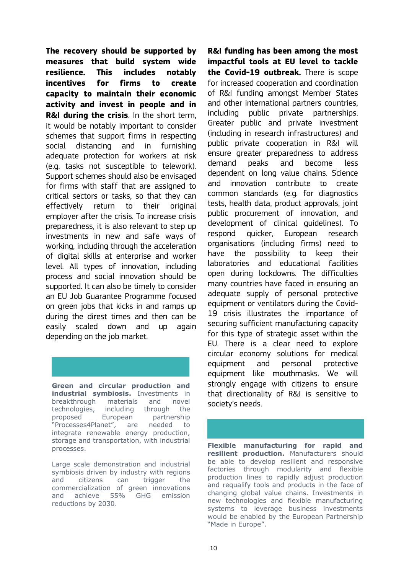**The recovery should be supported by measures that build system wide resilience. This includes notably incentives for firms to create capacity to maintain their economic activity and invest in people and in R&I during the crisis**. In the short term, it would be notably important to consider schemes that support firms in respecting social distancing and in furnishing adequate protection for workers at risk (e.g. tasks not susceptible to telework). Support schemes should also be envisaged for firms with staff that are assigned to critical sectors or tasks, so that they can effectively return to their original employer after the crisis. To increase crisis preparedness, it is also relevant to step up investments in new and safe ways of working, including through the acceleration of digital skills at enterprise and worker level. All types of innovation, including process and social innovation should be supported. It can also be timely to consider an EU Job Guarantee Programme focused on green jobs that kicks in and ramps up during the direst times and then can be easily scaled down and up again depending on the job market.

**Green and circular production and industrial symbiosis.** Investments in breakthrough materials and novel technologies, including through the proposed European partnership "Processes4Planet", are needed to integrate renewable energy production, storage and transportation, with industrial processes.

Large scale demonstration and industrial symbiosis driven by industry with regions and citizens can trigger the commercialization of green innovations and achieve 55% GHG emission reductions by 2030.

**R&I funding has been among the most impactful tools at EU level to tackle the Covid-19 outbreak.** There is scope for increased cooperation and coordination of R&I funding amongst Member States and other international partners countries, including public private partnerships. Greater public and private investment (including in research infrastructures) and public private cooperation in R&I will ensure greater preparedness to address demand peaks and become less dependent on long value chains. Science and innovation contribute to create common standards (e.g. for diagnostics tests, health data, product approvals, joint public procurement of innovation, and development of clinical guidelines). To respond quicker, European research organisations (including firms) need to have the possibility to keep their laboratories and educational facilities open during lockdowns. The difficulties many countries have faced in ensuring an adequate supply of personal protective equipment or ventilators during the Covid-19 crisis illustrates the importance of securing sufficient manufacturing capacity for this type of strategic asset within the EU. There is a clear need to explore circular economy solutions for medical equipment and personal protective equipment like mouthmasks. We will strongly engage with citizens to ensure that directionality of R&I is sensitive to society's needs.

**Flexible manufacturing for rapid and resilient production.** Manufacturers should be able to develop resilient and responsive factories through modularity and flexible production lines to rapidly adjust production and requalify tools and products in the face of changing global value chains. Investments in new technologies and flexible manufacturing systems to leverage business investments would be enabled by the European Partnership "Made in Europe".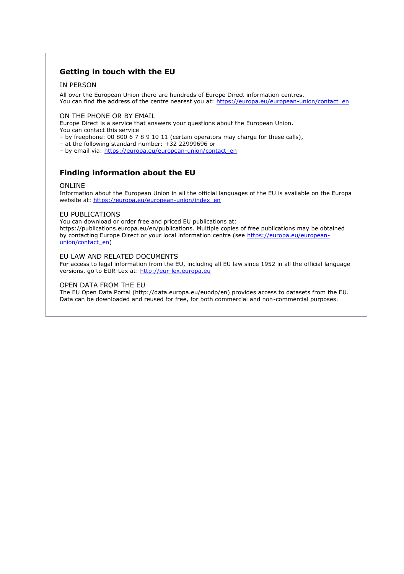### **Getting in touch with the EU**

#### IN PERSON

All over the European Union there are hundreds of Europe Direct information centres. You can find the address of the centre nearest you at: https://europa.eu/european-union/contact\_en

ON THE PHONE OR BY EMAIL

Europe Direct is a service that answers your questions about the European Union.

You can contact this service

– by freephone: 00 800 6 7 8 9 10 11 (certain operators may charge for these calls),

– at the following standard number: +32 22999696 or

– by email via: https://europa.eu/european-union/contact\_en

# **Finding information about the EU**

#### ONLINE

Information about the European Union in all the official languages of the EU is available on the Europa website at: https://europa.eu/european-union/index\_en

#### EU PUBLICATIONS

You can download or order free and priced EU publications at: https://publications.europa.eu/en/publications. Multiple copies of free publications may be obtained by contacting Europe Direct or your local information centre (see https://europa.eu/europeanunion/contact\_en)

#### EU LAW AND RELATED DOCUMENTS

For access to legal information from the EU, including all EU law since 1952 in all the official language versions, go to EUR-Lex at: [http://eur-lex.europa.eu](http://eur-lex.europa.eu/)

#### OPEN DATA FROM THE EU

The EU Open Data Portal (http://data.europa.eu/euodp/en) provides access to datasets from the EU. Data can be downloaded and reused for free, for both commercial and non-commercial purposes.